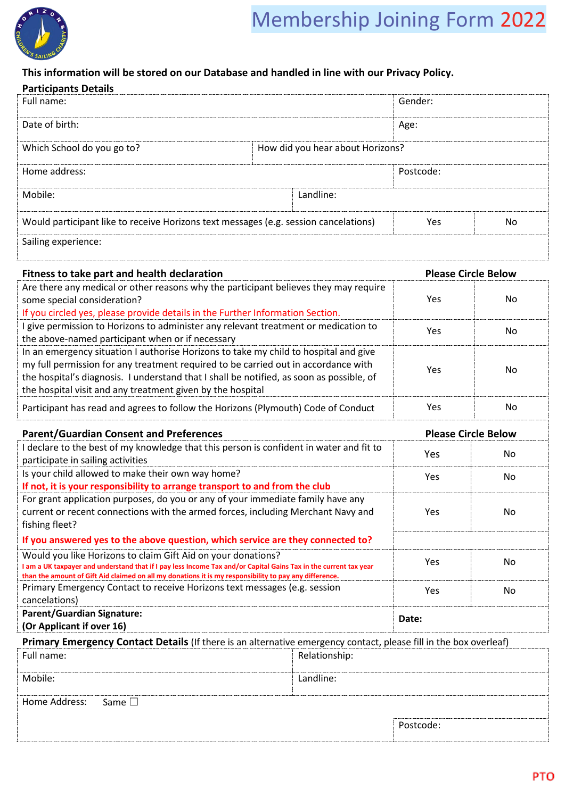

# Membership Joining Form 2022

# **This information will be stored on our Database and handled in line with our Privacy Policy.**

| <b>Participants Details</b>                                                          |           |                                  |    |
|--------------------------------------------------------------------------------------|-----------|----------------------------------|----|
| Full name:                                                                           |           | Gender:                          |    |
| Date of birth:                                                                       |           | Age:                             |    |
| Which School do you go to?                                                           |           | How did you hear about Horizons? |    |
| Home address:                                                                        |           | Postcode:                        |    |
| Mobile:                                                                              | Landline: |                                  |    |
| Would participant like to receive Horizons text messages (e.g. session cancelations) |           | Yρς                              | Nο |
| Sailing experience:                                                                  |           |                                  |    |

| Fitness to take part and health declaration                                                                                                                                                                                                                                                |               | <b>Please Circle Below</b> |                            |
|--------------------------------------------------------------------------------------------------------------------------------------------------------------------------------------------------------------------------------------------------------------------------------------------|---------------|----------------------------|----------------------------|
| Are there any medical or other reasons why the participant believes they may require<br>some special consideration?                                                                                                                                                                        |               | Yes                        | No.                        |
| If you circled yes, please provide details in the Further Information Section.                                                                                                                                                                                                             |               |                            |                            |
| I give permission to Horizons to administer any relevant treatment or medication to                                                                                                                                                                                                        |               |                            |                            |
| the above-named participant when or if necessary                                                                                                                                                                                                                                           |               | Yes                        | <b>No</b>                  |
| In an emergency situation I authorise Horizons to take my child to hospital and give                                                                                                                                                                                                       |               |                            |                            |
| my full permission for any treatment required to be carried out in accordance with                                                                                                                                                                                                         |               |                            |                            |
| the hospital's diagnosis. I understand that I shall be notified, as soon as possible, of                                                                                                                                                                                                   |               | Yes                        | No                         |
| the hospital visit and any treatment given by the hospital                                                                                                                                                                                                                                 |               |                            |                            |
| Participant has read and agrees to follow the Horizons (Plymouth) Code of Conduct                                                                                                                                                                                                          |               | Yes                        | No                         |
| <b>Parent/Guardian Consent and Preferences</b>                                                                                                                                                                                                                                             |               |                            | <b>Please Circle Below</b> |
| I declare to the best of my knowledge that this person is confident in water and fit to                                                                                                                                                                                                    |               | Yes                        | No                         |
| participate in sailing activities                                                                                                                                                                                                                                                          |               |                            |                            |
| Is your child allowed to make their own way home?                                                                                                                                                                                                                                          |               | Yes                        | No                         |
| If not, it is your responsibility to arrange transport to and from the club                                                                                                                                                                                                                |               |                            |                            |
| For grant application purposes, do you or any of your immediate family have any                                                                                                                                                                                                            |               |                            |                            |
| current or recent connections with the armed forces, including Merchant Navy and<br>fishing fleet?                                                                                                                                                                                         |               | Yes                        | N <sub>o</sub>             |
| If you answered yes to the above question, which service are they connected to?                                                                                                                                                                                                            |               |                            |                            |
| Would you like Horizons to claim Gift Aid on your donations?<br>I am a UK taxpayer and understand that if I pay less Income Tax and/or Capital Gains Tax in the current tax year<br>than the amount of Gift Aid claimed on all my donations it is my responsibility to pay any difference. |               | Yes                        | N <sub>o</sub>             |
| Primary Emergency Contact to receive Horizons text messages (e.g. session<br>cancelations)                                                                                                                                                                                                 |               | Yes                        | <b>No</b>                  |
| <b>Parent/Guardian Signature:</b>                                                                                                                                                                                                                                                          |               |                            |                            |
| (Or Applicant if over 16)                                                                                                                                                                                                                                                                  |               | Date:                      |                            |
| Primary Emergency Contact Details (If there is an alternative emergency contact, please fill in the box overleaf)                                                                                                                                                                          |               |                            |                            |
| Full name:                                                                                                                                                                                                                                                                                 | Relationship: |                            |                            |
| Mobile:                                                                                                                                                                                                                                                                                    | Landline:     |                            |                            |

Home Address: Same □ Postcode: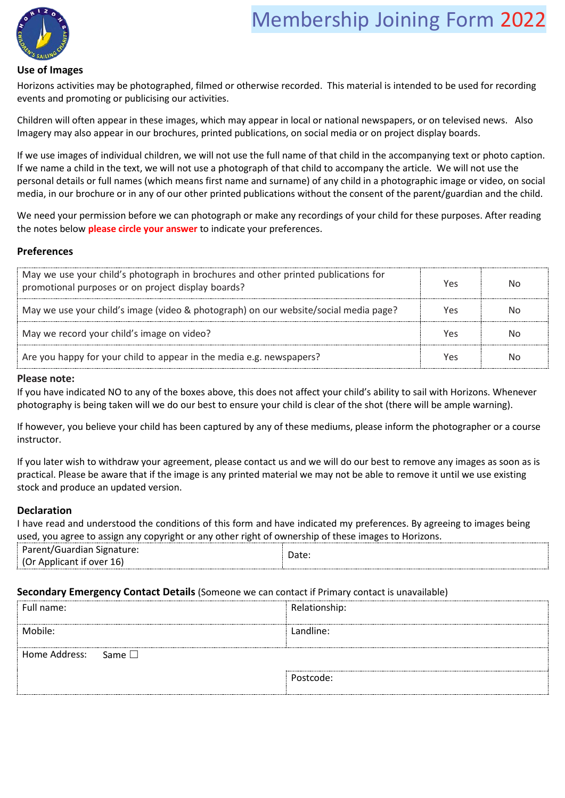# Membership Joining Form <sup>2022</sup>



#### **Use of Images**

Horizons activities may be photographed, filmed or otherwise recorded. This material is intended to be used for recording events and promoting or publicising our activities.

Children will often appear in these images, which may appear in local or national newspapers, or on televised news. Also Imagery may also appear in our brochures, printed publications, on social media or on project display boards.

If we use images of individual children, we will not use the full name of that child in the accompanying text or photo caption. If we name a child in the text, we will not use a photograph of that child to accompany the article. We will not use the personal details or full names (which means first name and surname) of any child in a photographic image or video, on social media, in our brochure or in any of our other printed publications without the consent of the parent/guardian and the child.

We need your permission before we can photograph or make any recordings of your child for these purposes. After reading the notes below **please circle your answer** to indicate your preferences.

### **Preferences**

| May we use your child's photograph in brochures and other printed publications for<br>promotional purposes or on project display boards? | YAS |  |
|------------------------------------------------------------------------------------------------------------------------------------------|-----|--|
| May we use your child's image (video & photograph) on our website/social media page?                                                     | Yes |  |
| May we record your child's image on video?                                                                                               | YA  |  |
| Are you happy for your child to appear in the media e.g. newspapers?                                                                     |     |  |

#### **Please note:**

If you have indicated NO to any of the boxes above, this does not affect your child's ability to sail with Horizons. Whenever photography is being taken will we do our best to ensure your child is clear of the shot (there will be ample warning).

If however, you believe your child has been captured by any of these mediums, please inform the photographer or a course instructor.

If you later wish to withdraw your agreement, please contact us and we will do our best to remove any images as soon as is practical. Please be aware that if the image is any printed material we may not be able to remove it until we use existing stock and produce an updated version.

### **Declaration**

I have read and understood the conditions of this form and have indicated my preferences. By agreeing to images being used, you agree to assign any copyright or any other right of ownership of these images to Horizons.

| Parent/Guardian Signature: | Date |
|----------------------------|------|
| (Or Applicant if over 16)  |      |

#### **Secondary Emergency Contact Details** (Someone we can contact if Primary contact is unavailable)

| Full name:                   | Relationship: |
|------------------------------|---------------|
| Mobile:                      | Landline:     |
| Home Address:<br>Same $\Box$ |               |
|                              | Postcode:     |